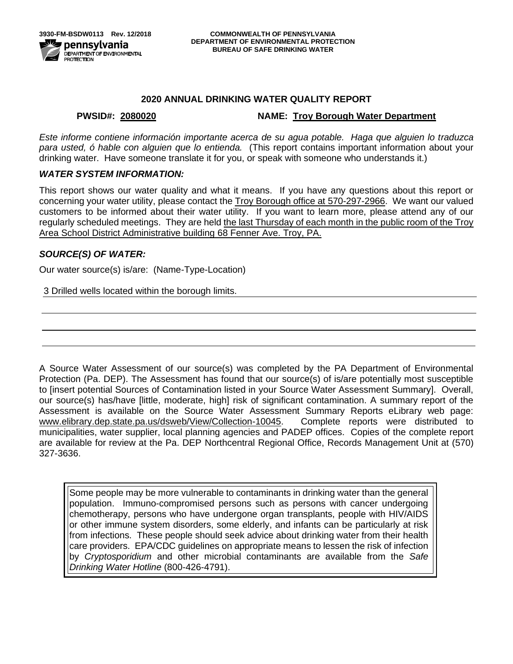## **2020 ANNUAL DRINKING WATER QUALITY REPORT**

## **PWSID#: 2080020 NAME: Troy Borough Water Department**

*Este informe contiene información importante acerca de su agua potable. Haga que alguien lo traduzca para usted, ó hable con alguien que lo entienda.* (This report contains important information about your drinking water. Have someone translate it for you, or speak with someone who understands it.)

## *WATER SYSTEM INFORMATION:*

This report shows our water quality and what it means. If you have any questions about this report or concerning your water utility, please contact the Troy Borough office at 570-297-2966.We want our valued customers to be informed about their water utility. If you want to learn more, please attend any of our regularly scheduled meetings. They are held the last Thursday of each month in the public room of the Troy Area School District Administrative building 68 Fenner Ave. Troy, PA.

## *SOURCE(S) OF WATER:*

Our water source(s) is/are: (Name-Type-Location)

3 Drilled wells located within the borough limits.

A Source Water Assessment of our source(s) was completed by the PA Department of Environmental Protection (Pa. DEP). The Assessment has found that our source(s) of is/are potentially most susceptible to [insert potential Sources of Contamination listed in your Source Water Assessment Summary]. Overall, our source(s) has/have [little, moderate, high] risk of significant contamination. A summary report of the Assessment is available on the Source Water Assessment Summary Reports eLibrary web page: [www.elibrary.dep.state.pa.us/dsweb/View/Collection-10045.](http://www.elibrary.dep.state.pa.us/dsweb/View/Collection-10045) Complete reports were distributed to municipalities, water supplier, local planning agencies and PADEP offices. Copies of the complete report are available for review at the Pa. DEP Northcentral Regional Office, Records Management Unit at (570) 327-3636.

Some people may be more vulnerable to contaminants in drinking water than the general population. Immuno-compromised persons such as persons with cancer undergoing chemotherapy, persons who have undergone organ transplants, people with HIV/AIDS or other immune system disorders, some elderly, and infants can be particularly at risk from infections. These people should seek advice about drinking water from their health care providers. EPA/CDC guidelines on appropriate means to lessen the risk of infection by *Cryptosporidium* and other microbial contaminants are available from the *Safe Drinking Water Hotline* (800-426-4791).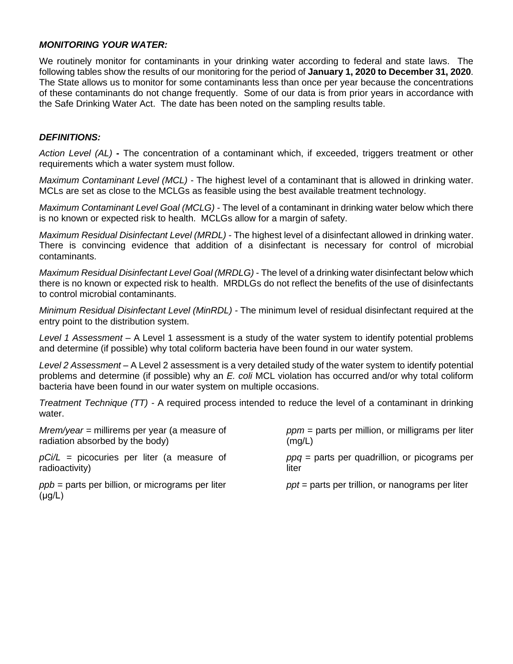## *MONITORING YOUR WATER:*

We routinely monitor for contaminants in your drinking water according to federal and state laws. The following tables show the results of our monitoring for the period of **January 1, 2020 to December 31, 2020**. The State allows us to monitor for some contaminants less than once per year because the concentrations of these contaminants do not change frequently. Some of our data is from prior years in accordance with the Safe Drinking Water Act. The date has been noted on the sampling results table.

## *DEFINITIONS:*

*Action Level (AL)* **-** The concentration of a contaminant which, if exceeded, triggers treatment or other requirements which a water system must follow.

*Maximum Contaminant Level (MCL)* - The highest level of a contaminant that is allowed in drinking water. MCLs are set as close to the MCLGs as feasible using the best available treatment technology.

*Maximum Contaminant Level Goal (MCLG)* - The level of a contaminant in drinking water below which there is no known or expected risk to health. MCLGs allow for a margin of safety.

*Maximum Residual Disinfectant Level (MRDL)* - The highest level of a disinfectant allowed in drinking water. There is convincing evidence that addition of a disinfectant is necessary for control of microbial contaminants.

*Maximum Residual Disinfectant Level Goal (MRDLG)* - The level of a drinking water disinfectant below which there is no known or expected risk to health. MRDLGs do not reflect the benefits of the use of disinfectants to control microbial contaminants.

*Minimum Residual Disinfectant Level (MinRDL) -* The minimum level of residual disinfectant required at the entry point to the distribution system.

*Level 1 Assessment –* A Level 1 assessment is a study of the water system to identify potential problems and determine (if possible) why total coliform bacteria have been found in our water system.

*Level 2 Assessment –* A Level 2 assessment is a very detailed study of the water system to identify potential problems and determine (if possible) why an *E. coli* MCL violation has occurred and/or why total coliform bacteria have been found in our water system on multiple occasions.

*Treatment Technique (TT) -* A required process intended to reduce the level of a contaminant in drinking water.

| $Mrem/year = millirems per year (a measure of$                    | $ppm$ = parts per million, or milligrams per liter |
|-------------------------------------------------------------------|----------------------------------------------------|
| radiation absorbed by the body)                                   | (mg/L)                                             |
| $pCi/L$ = picocuries per liter (a measure of                      | $ppq$ = parts per quadrillion, or picograms per    |
| radioactivity)                                                    | liter                                              |
| $ppb$ = parts per billion, or micrograms per liter<br>$(\mu g/L)$ | $ppt$ = parts per trillion, or nanograms per liter |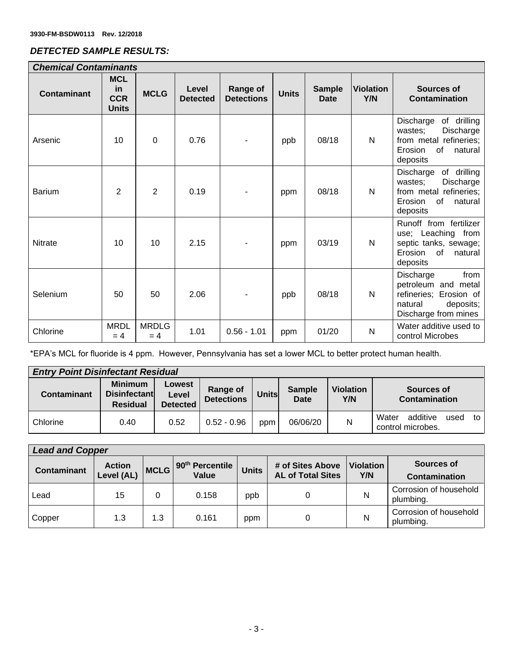# *DETECTED SAMPLE RESULTS:*

| <b>Chemical Contaminants</b> |                                                |                       |                          |                               |              |                              |                         |                                                                                                                           |
|------------------------------|------------------------------------------------|-----------------------|--------------------------|-------------------------------|--------------|------------------------------|-------------------------|---------------------------------------------------------------------------------------------------------------------------|
| <b>Contaminant</b>           | <b>MCL</b><br>in<br><b>CCR</b><br><b>Units</b> | <b>MCLG</b>           | Level<br><b>Detected</b> | Range of<br><b>Detections</b> | <b>Units</b> | <b>Sample</b><br><b>Date</b> | <b>Violation</b><br>Y/N | Sources of<br><b>Contamination</b>                                                                                        |
| Arsenic                      | 10                                             | $\Omega$              | 0.76                     |                               | ppb          | 08/18                        | $\mathsf{N}$            | Discharge<br>of drilling<br>Discharge<br>wastes;<br>from metal refineries;<br>of<br>Erosion<br>natural<br>deposits        |
| <b>Barium</b>                | 2                                              | $\overline{2}$        | 0.19                     |                               | ppm          | 08/18                        | N                       | of drilling<br>Discharge<br>Discharge<br>wastes;<br>from metal refineries;<br><b>of</b><br>Erosion<br>natural<br>deposits |
| <b>Nitrate</b>               | 10                                             | 10                    | 2.15                     |                               | ppm          | 03/19                        | $\mathsf{N}$            | Runoff from fertilizer<br>use; Leaching from<br>septic tanks, sewage;<br>Erosion<br>of<br>natural<br>deposits             |
| Selenium                     | 50                                             | 50                    | 2.06                     |                               | ppb          | 08/18                        | N                       | Discharge<br>from<br>petroleum and metal<br>refineries; Erosion of<br>deposits;<br>natural<br>Discharge from mines        |
| Chlorine                     | <b>MRDL</b><br>$= 4$                           | <b>MRDLG</b><br>$= 4$ | 1.01                     | $0.56 - 1.01$                 | ppm          | 01/20                        | N                       | Water additive used to<br>control Microbes                                                                                |

\*EPA's MCL for fluoride is 4 ppm. However, Pennsylvania has set a lower MCL to better protect human health.

| <b>Entry Point Disinfectant Residual</b> |                                                          |                                    |                               |              |                              |                         |                                                      |
|------------------------------------------|----------------------------------------------------------|------------------------------------|-------------------------------|--------------|------------------------------|-------------------------|------------------------------------------------------|
| Contaminant                              | <b>Minimum</b><br><b>Disinfectant</b><br><b>Residual</b> | Lowest<br>Level<br><b>Detected</b> | Range of<br><b>Detections</b> | <b>Units</b> | <b>Sample</b><br><b>Date</b> | <b>Violation</b><br>Y/N | Sources of<br>Contamination                          |
| Chlorine                                 | 0.40                                                     | 0.52                               | $0.52 - 0.96$                 | ppm          | 06/06/20                     | N                       | additive<br>Water<br>used<br>to<br>control microbes. |

| <b>Lead and Copper</b> |                             |             |                                      |              |                                              |                         |                                     |
|------------------------|-----------------------------|-------------|--------------------------------------|--------------|----------------------------------------------|-------------------------|-------------------------------------|
| <b>Contaminant</b>     | <b>Action</b><br>Level (AL) | <b>MCLG</b> | 90 <sup>th</sup> Percentile<br>Value | <b>Units</b> | # of Sites Above<br><b>AL of Total Sites</b> | <b>Violation</b><br>Y/N | Sources of<br>Contamination         |
| Lead                   | 15                          |             | 0.158                                | ppb          |                                              | N                       | Corrosion of household<br>plumbing. |
| Copper                 | 1.3                         | 1.3         | 0.161                                | ppm          |                                              | N                       | Corrosion of household<br>plumbing. |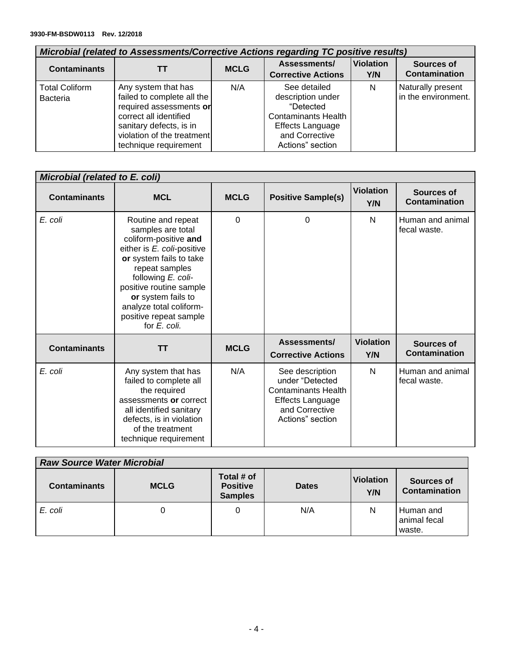| Microbial (related to Assessments/Corrective Actions regarding TC positive results) |                                                                                                                                                                                          |             |                                                                                                                                               |                         |                                          |
|-------------------------------------------------------------------------------------|------------------------------------------------------------------------------------------------------------------------------------------------------------------------------------------|-------------|-----------------------------------------------------------------------------------------------------------------------------------------------|-------------------------|------------------------------------------|
| <b>Contaminants</b>                                                                 |                                                                                                                                                                                          | <b>MCLG</b> | Assessments/<br><b>Corrective Actions</b>                                                                                                     | <b>Violation</b><br>Y/N | Sources of<br><b>Contamination</b>       |
| <b>Total Coliform</b><br><b>Bacteria</b>                                            | Any system that has<br>failed to complete all the<br>required assessments or<br>correct all identified<br>sanitary defects, is in<br>violation of the treatment<br>technique requirement | N/A         | See detailed<br>description under<br>"Detected<br><b>Contaminants Health</b><br><b>Effects Language</b><br>and Corrective<br>Actions" section | N                       | Naturally present<br>in the environment. |

| Microbial (related to E. coli) |                                                                                                                                                                                                                                                                                         |             |                                                                                                                                   |                         |                                  |
|--------------------------------|-----------------------------------------------------------------------------------------------------------------------------------------------------------------------------------------------------------------------------------------------------------------------------------------|-------------|-----------------------------------------------------------------------------------------------------------------------------------|-------------------------|----------------------------------|
| <b>Contaminants</b>            | <b>MCL</b>                                                                                                                                                                                                                                                                              | <b>MCLG</b> | <b>Positive Sample(s)</b>                                                                                                         | <b>Violation</b><br>Y/N | Sources of<br>Contamination      |
| E. coli                        | Routine and repeat<br>samples are total<br>coliform-positive and<br>either is E. coli-positive<br>or system fails to take<br>repeat samples<br>following E. coli-<br>positive routine sample<br>or system fails to<br>analyze total coliform-<br>positive repeat sample<br>for E. coli. | $\mathbf 0$ | 0                                                                                                                                 | N                       | Human and animal<br>fecal waste. |
| <b>Contaminants</b>            | <b>TT</b>                                                                                                                                                                                                                                                                               | <b>MCLG</b> | Assessments/<br><b>Corrective Actions</b>                                                                                         | <b>Violation</b><br>Y/N | Sources of<br>Contamination      |
| E. coli                        | Any system that has<br>failed to complete all<br>the required<br>assessments or correct<br>all identified sanitary<br>defects, is in violation<br>of the treatment<br>technique requirement                                                                                             | N/A         | See description<br>under "Detected<br><b>Contaminants Health</b><br><b>Effects Language</b><br>and Corrective<br>Actions" section | N                       | Human and animal<br>fecal waste. |

| <b>Raw Source Water Microbial</b> |             |                                                 |              |                         |                                     |
|-----------------------------------|-------------|-------------------------------------------------|--------------|-------------------------|-------------------------------------|
| <b>Contaminants</b>               | <b>MCLG</b> | Total # of<br><b>Positive</b><br><b>Samples</b> | <b>Dates</b> | <b>Violation</b><br>Y/N | Sources of<br><b>Contamination</b>  |
| E. coli                           |             |                                                 | N/A          | N                       | Human and<br>animal fecal<br>waste. |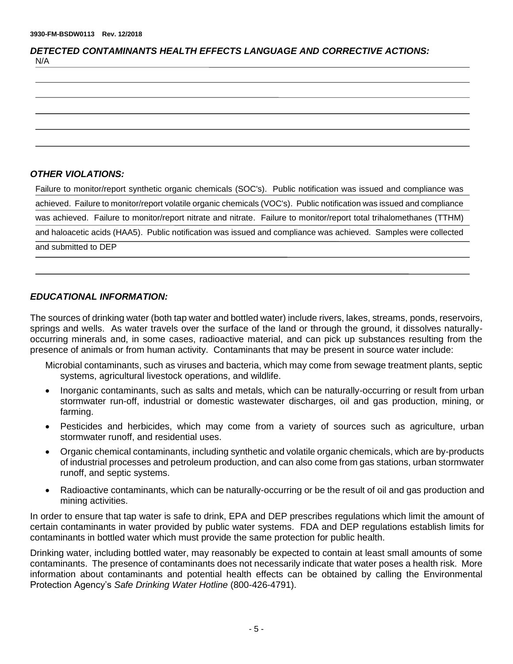| <b>DETECTED CONTAMINANTS HEALTH EFFECTS LANGUAGE AND CORRECTIVE ACTIONS:</b> |  |
|------------------------------------------------------------------------------|--|
| N/A                                                                          |  |

## *OTHER VIOLATIONS:*

| Failure to monitor/report synthetic organic chemicals (SOC's). Public notification was issued and compliance was      |
|-----------------------------------------------------------------------------------------------------------------------|
| achieved. Failure to monitor/report volatile organic chemicals (VOC's). Public notification was issued and compliance |
| was achieved. Failure to monitor/report nitrate and nitrate. Failure to monitor/report total trihalomethanes (TTHM)   |
| and haloacetic acids (HAA5). Public notification was issued and compliance was achieved. Samples were collected       |
| and submitted to DEP                                                                                                  |

## *EDUCATIONAL INFORMATION:*

The sources of drinking water (both tap water and bottled water) include rivers, lakes, streams, ponds, reservoirs, springs and wells. As water travels over the surface of the land or through the ground, it dissolves naturallyoccurring minerals and, in some cases, radioactive material, and can pick up substances resulting from the presence of animals or from human activity. Contaminants that may be present in source water include:

- Microbial contaminants, such as viruses and bacteria, which may come from sewage treatment plants, septic systems, agricultural livestock operations, and wildlife.
- Inorganic contaminants, such as salts and metals, which can be naturally-occurring or result from urban stormwater run-off, industrial or domestic wastewater discharges, oil and gas production, mining, or farming.
- Pesticides and herbicides, which may come from a variety of sources such as agriculture, urban stormwater runoff, and residential uses.
- Organic chemical contaminants, including synthetic and volatile organic chemicals, which are by-products of industrial processes and petroleum production, and can also come from gas stations, urban stormwater runoff, and septic systems.
- Radioactive contaminants, which can be naturally-occurring or be the result of oil and gas production and mining activities.

In order to ensure that tap water is safe to drink, EPA and DEP prescribes regulations which limit the amount of certain contaminants in water provided by public water systems. FDA and DEP regulations establish limits for contaminants in bottled water which must provide the same protection for public health.

Drinking water, including bottled water, may reasonably be expected to contain at least small amounts of some contaminants. The presence of contaminants does not necessarily indicate that water poses a health risk. More information about contaminants and potential health effects can be obtained by calling the Environmental Protection Agency's *Safe Drinking Water Hotline* (800-426-4791).